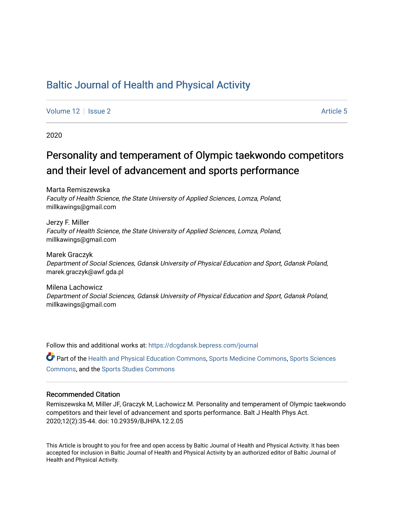## [Baltic Journal of Health and Physical Activity](https://dcgdansk.bepress.com/journal)

[Volume 12](https://dcgdansk.bepress.com/journal/vol12) | [Issue 2](https://dcgdansk.bepress.com/journal/vol12/iss2) Article 5

2020

# Personality and temperament of Olympic taekwondo competitors and their level of advancement and sports performance

Marta Remiszewska Faculty of Health Science, the State University of Applied Sciences, Lomza, Poland, millkawings@gmail.com

Jerzy F. Miller Faculty of Health Science, the State University of Applied Sciences, Lomza, Poland, millkawings@gmail.com

Marek Graczyk Department of Social Sciences, Gdansk University of Physical Education and Sport, Gdansk Poland, marek.graczyk@awf.gda.pl

Milena Lachowicz Department of Social Sciences, Gdansk University of Physical Education and Sport, Gdansk Poland, millkawings@gmail.com

Follow this and additional works at: [https://dcgdansk.bepress.com/journal](https://dcgdansk.bepress.com/journal?utm_source=dcgdansk.bepress.com%2Fjournal%2Fvol12%2Fiss2%2F5&utm_medium=PDF&utm_campaign=PDFCoverPages)

Part of the [Health and Physical Education Commons](http://network.bepress.com/hgg/discipline/1327?utm_source=dcgdansk.bepress.com%2Fjournal%2Fvol12%2Fiss2%2F5&utm_medium=PDF&utm_campaign=PDFCoverPages), [Sports Medicine Commons,](http://network.bepress.com/hgg/discipline/1331?utm_source=dcgdansk.bepress.com%2Fjournal%2Fvol12%2Fiss2%2F5&utm_medium=PDF&utm_campaign=PDFCoverPages) [Sports Sciences](http://network.bepress.com/hgg/discipline/759?utm_source=dcgdansk.bepress.com%2Fjournal%2Fvol12%2Fiss2%2F5&utm_medium=PDF&utm_campaign=PDFCoverPages) [Commons](http://network.bepress.com/hgg/discipline/759?utm_source=dcgdansk.bepress.com%2Fjournal%2Fvol12%2Fiss2%2F5&utm_medium=PDF&utm_campaign=PDFCoverPages), and the [Sports Studies Commons](http://network.bepress.com/hgg/discipline/1198?utm_source=dcgdansk.bepress.com%2Fjournal%2Fvol12%2Fiss2%2F5&utm_medium=PDF&utm_campaign=PDFCoverPages) 

### Recommended Citation

Remiszewska M, Miller JF, Graczyk M, Lachowicz M. Personality and temperament of Olympic taekwondo competitors and their level of advancement and sports performance. Balt J Health Phys Act. 2020;12(2):35-44. doi: 10.29359/BJHPA.12.2.05

This Article is brought to you for free and open access by Baltic Journal of Health and Physical Activity. It has been accepted for inclusion in Baltic Journal of Health and Physical Activity by an authorized editor of Baltic Journal of Health and Physical Activity.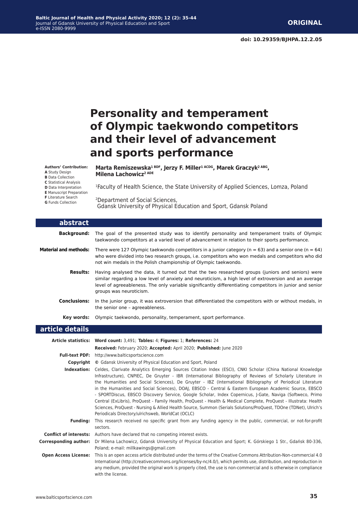# **Personality and temperament of Olympic taekwondo competitors and their level of advancement and sports performance**

**Authors' Contribution:**

**A** Study Design

**B** Data Collection

**C** Statistical Analysis

- **D** Data Interpretation
- **E** Manuscript Preparation
- **F** Literature Search
- **G** Funds Collection

Marta Remiszewska<sup>1 BDF</sup>, Jerzy F. Miller<sup>1 ACDG</sup>, Marek Graczyk<sup>2 ABG</sup>, **Milena Lachowicz<sup>2 ADE</sup>** 

1Faculty of Health Science, the State University of Applied Sciences, Lomza, Poland

2Department of Social Sciences, Gdansk University of Physical Education and Sport, Gdansk Poland

| abstract                     |                                                                                                                                                                                                                                                                                                                                                                                                                                                                                                                                                                                                                                                                                                                                                                                                                                                                           |
|------------------------------|---------------------------------------------------------------------------------------------------------------------------------------------------------------------------------------------------------------------------------------------------------------------------------------------------------------------------------------------------------------------------------------------------------------------------------------------------------------------------------------------------------------------------------------------------------------------------------------------------------------------------------------------------------------------------------------------------------------------------------------------------------------------------------------------------------------------------------------------------------------------------|
|                              | Background: The goal of the presented study was to identify personality and temperament traits of Olympic<br>taekwondo competitors at a varied level of advancement in relation to their sports performance.                                                                                                                                                                                                                                                                                                                                                                                                                                                                                                                                                                                                                                                              |
| <b>Material and methods:</b> | There were 127 Olympic taekwondo competitors in a junior category ( $n = 63$ ) and a senior one ( $n = 64$ )<br>who were divided into two research groups, i.e. competitors who won medals and competitors who did<br>not win medals in the Polish championship of Olympic taekwondo.                                                                                                                                                                                                                                                                                                                                                                                                                                                                                                                                                                                     |
| <b>Results:</b>              | Having analysed the data, it turned out that the two researched groups (juniors and seniors) were<br>similar regarding a low level of anxiety and neuroticism, a high level of extroversion and an average<br>level of agreeableness. The only variable significantly differentiating competitors in junior and senior<br>groups was neuroticism.                                                                                                                                                                                                                                                                                                                                                                                                                                                                                                                         |
| <b>Conclusions:</b>          | In the junior group, it was extroversion that differentiated the competitors with or without medals, in<br>the senior one - agreeableness.                                                                                                                                                                                                                                                                                                                                                                                                                                                                                                                                                                                                                                                                                                                                |
| Key words:                   | Olympic taekwondo, personality, temperament, sport performance.                                                                                                                                                                                                                                                                                                                                                                                                                                                                                                                                                                                                                                                                                                                                                                                                           |
| article details              |                                                                                                                                                                                                                                                                                                                                                                                                                                                                                                                                                                                                                                                                                                                                                                                                                                                                           |
|                              |                                                                                                                                                                                                                                                                                                                                                                                                                                                                                                                                                                                                                                                                                                                                                                                                                                                                           |
|                              | Article statistics: Word count: 3,491; Tables: 4; Figures: 1; References: 24                                                                                                                                                                                                                                                                                                                                                                                                                                                                                                                                                                                                                                                                                                                                                                                              |
|                              | Received: February 2020; Accepted: April 2020; Published: June 2020<br>Full-text PDF: http://www.balticsportscience.com                                                                                                                                                                                                                                                                                                                                                                                                                                                                                                                                                                                                                                                                                                                                                   |
|                              | <b>Copyright</b> © Gdansk University of Physical Education and Sport, Poland                                                                                                                                                                                                                                                                                                                                                                                                                                                                                                                                                                                                                                                                                                                                                                                              |
|                              | Indexation: Celdes, Clarivate Analytics Emerging Sources Citation Index (ESCI), CNKI Scholar (China National Knowledge<br>Infrastructure), CNPIEC, De Gruyter - IBR (International Bibliography of Reviews of Scholarly Literature in<br>the Humanities and Social Sciences), De Gruyter - IBZ (International Bibliography of Periodical Literature<br>in the Humanities and Social Sciences), DOAJ, EBSCO - Central & Eastern European Academic Source, EBSCO<br>- SPORTDiscus, EBSCO Discovery Service, Google Scholar, Index Copernicus, J-Gate, Naviga (Softweco, Primo<br>Central (ExLibris), ProQuest - Family Health, ProQuest - Health & Medical Complete, ProQuest - Illustrata: Health<br>Sciences, ProQuest - Nursing & Allied Health Source, Summon (Serials Solutions/ProQuest, TDOne (TDNet), Ulrich's<br>Periodicals Directory/ulrichsweb, WorldCat (OCLC) |
| <b>Funding:</b>              | This research received no specific grant from any funding agency in the public, commercial, or not-for-profit<br>sectors.                                                                                                                                                                                                                                                                                                                                                                                                                                                                                                                                                                                                                                                                                                                                                 |
|                              | <b>Conflict of interests:</b> Authors have declared that no competing interest exists.                                                                                                                                                                                                                                                                                                                                                                                                                                                                                                                                                                                                                                                                                                                                                                                    |

**Open Access License:** This is an open access article distributed under the terms of the Creative Commons Attribution-Non-commercial 4.0 International (http://creativecommons.org/licenses/by-nc/4.0/), which permits use, distribution, and reproduction in any medium, provided the original work is properly cited, the use is non-commercial and is otherwise in compliance with the license.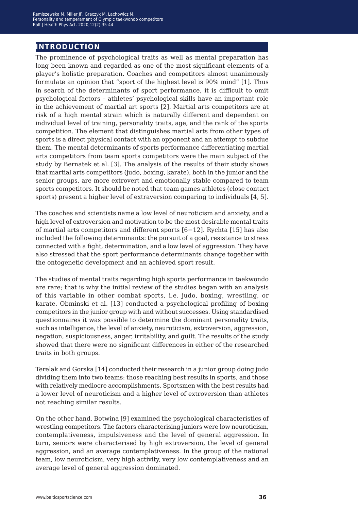## **introduction**

The prominence of psychological traits as well as mental preparation has long been known and regarded as one of the most significant elements of a player's holistic preparation. Coaches and competitors almost unanimously formulate an opinion that "sport of the highest level is 90% mind" [1]. Thus in search of the determinants of sport performance, it is difficult to omit psychological factors – athletes' psychological skills have an important role in the achievement of martial art sports [2]. Martial arts competitors are at risk of a high mental strain which is naturally different and dependent on individual level of training, personality traits, age, and the rank of the sports competition. The element that distinguishes martial arts from other types of sports is a direct physical contact with an opponent and an attempt to subdue them. The mental determinants of sports performance differentiating martial arts competitors from team sports competitors were the main subject of the study by Bernatek et al. [3]. The analysis of the results of their study shows that martial arts competitors (judo, boxing, karate), both in the junior and the senior groups, are more extrovert and emotionally stable compared to team sports competitors. It should be noted that team games athletes (close contact sports) present a higher level of extraversion comparing to individuals [4, 5].

The coaches and scientists name a low level of neuroticism and anxiety, and a high level of extroversion and motivation to be the most desirable mental traits of martial arts competitors and different sports [6−12]. Rychta [15] has also included the following determinants: the pursuit of a goal, resistance to stress connected with a fight, determination, and a low level of aggression. They have also stressed that the sport performance determinants change together with the ontogenetic development and an achieved sport result.

The studies of mental traits regarding high sports performance in taekwondo are rare; that is why the initial review of the studies began with an analysis of this variable in other combat sports, i.e. judo, boxing, wrestling, or karate. Obminski et al. [13] conducted a psychological profiling of boxing competitors in the junior group with and without successes. Using standardised questionnaires it was possible to determine the dominant personality traits, such as intelligence, the level of anxiety, neuroticism, extroversion, aggression, negation, suspiciousness, anger, irritability, and guilt. The results of the study showed that there were no significant differences in either of the researched traits in both groups.

Terelak and Gorska [14] conducted their research in a junior group doing judo dividing them into two teams: those reaching best results in sports, and those with relatively mediocre accomplishments. Sportsmen with the best results had a lower level of neuroticism and a higher level of extroversion than athletes not reaching similar results.

On the other hand, Botwina [9] examined the psychological characteristics of wrestling competitors. The factors characterising juniors were low neuroticism, contemplativeness, impulsiveness and the level of general aggression. In turn, seniors were characterised by high extroversion, the level of general aggression, and an average contemplativeness. In the group of the national team, low neuroticism, very high activity, very low contemplativeness and an average level of general aggression dominated.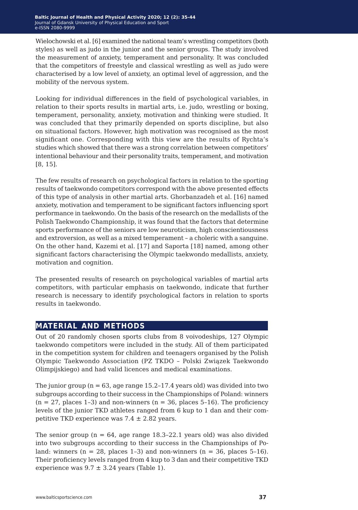Wielochowski et al. [6] examined the national team's wrestling competitors (both styles) as well as judo in the junior and the senior groups. The study involved the measurement of anxiety, temperament and personality. It was concluded that the competitors of freestyle and classical wrestling as well as judo were characterised by a low level of anxiety, an optimal level of aggression, and the mobility of the nervous system.

Looking for individual differences in the field of psychological variables, in relation to their sports results in martial arts, i.e. judo, wrestling or boxing, temperament, personality, anxiety, motivation and thinking were studied. It was concluded that they primarily depended on sports discipline, but also on situational factors. However, high motivation was recognised as the most significant one. Corresponding with this view are the results of Rychta's studies which showed that there was a strong correlation between competitors' intentional behaviour and their personality traits, temperament, and motivation [8, 15].

The few results of research on psychological factors in relation to the sporting results of taekwondo competitors correspond with the above presented effects of this type of analysis in other martial arts. Ghorbanzadeh et al. [16] named anxiety, motivation and temperament to be significant factors influencing sport performance in taekwondo. On the basis of the research on the medallists of the Polish Taekwondo Championship, it was found that the factors that determine sports performance of the seniors are low neuroticism, high conscientiousness and extroversion, as well as a mixed temperament – a choleric with a sanguine. On the other hand, Kazemi et al. [17] and Saporta [18] named, among other significant factors characterising the Olympic taekwondo medallists, anxiety, motivation and cognition.

The presented results of research on psychological variables of martial arts competitors, with particular emphasis on taekwondo, indicate that further research is necessary to identify psychological factors in relation to sports results in taekwondo.

## **material and methods**

Out of 20 randomly chosen sports clubs from 8 voivodeships, 127 Olympic taekwondo competitors were included in the study. All of them participated in the competition system for children and teenagers organised by the Polish Olympic Taekwondo Association (PZ TKDO – Polski Związek Taekwondo Olimpijskiego) and had valid licences and medical examinations.

The junior group ( $n = 63$ , age range 15.2–17.4 years old) was divided into two subgroups according to their success in the Championships of Poland: winners  $(n = 27,$  places 1-3) and non-winners  $(n = 36,$  places 5-16). The proficiency levels of the junior TKD athletes ranged from 6 kup to 1 dan and their competitive TKD experience was  $7.4 \pm 2.82$  years.

The senior group ( $n = 64$ , age range 18.3–22.1 years old) was also divided into two subgroups according to their success in the Championships of Poland: winners ( $n = 28$ , places 1-3) and non-winners ( $n = 36$ , places 5-16). Their proficiency levels ranged from 4 kup to 3 dan and their competitive TKD experience was  $9.7 \pm 3.24$  years (Table 1).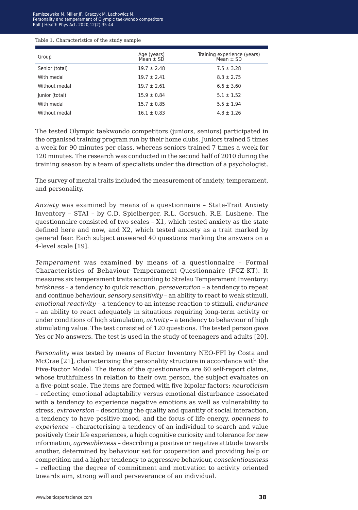Remiszewska M, Miller JF, Graczyk M, Lachowicz M.<br>Personality and temperament of Olympic taekwondo competitors alt I Health Phys. Act. 2020:12(2):35-44  $\sim$ Balt J Health Phys Act. 2020;12(2):35-44<br> Personality and temperament of Olympic taekwondo competitors

#### Table 1. Characteristics of the study sample

| Group          | Age (years)<br>Mean $\pm$ SD | Training experience (years)<br>Mean $\pm$ SD |
|----------------|------------------------------|----------------------------------------------|
| Senior (total) | $19.7 \pm 2.48$              | $7.5 \pm 3.28$                               |
| With medal     | $19.7 \pm 2.41$              | $8.3 \pm 2.75$                               |
| Without medal  | $19.7 \pm 2.61$              | $6.6 \pm 3.60$                               |
| Junior (total) | $15.9 \pm 0.84$              | $5.1 \pm 1.52$                               |
| With medal     | $15.7 \pm 0.85$              | $5.5 \pm 1.94$                               |
| Without medal  | $16.1 \pm 0.83$              | $4.8 \pm 1.26$                               |

The tested Olympic taekwondo competitors (juniors, seniors) participated in the organised training program run by their home clubs. Juniors trained 5 times a week for 90 minutes per class, whereas seniors trained 7 times a week for 120 minutes. The research was conducted in the second half of 2010 during the training season by a team of specialists under the direction of a psychologist.

The survey of mental traits included the measurement of anxiety, temperament, and personality.

*Anxiety* was examined by means of a questionnaire – State-Trait Anxiety Inventory – STAI – by C.D. Spielberger, R.L. Gorsuch, R.E. Lushene. The questionnaire consisted of two scales – X1, which tested anxiety as the state defined here and now, and X2, which tested anxiety as a trait marked by general fear. Each subject answered 40 questions marking the answers on a 4-level scale [19].

*Temperament* was examined by means of a questionnaire – Formal Characteristics of Behaviour–Temperament Questionnaire (FCZ-KT). It measures six temperament traits according to Strelau Temperament Inventory: *briskness* – a tendency to quick reaction, *perseveration* – a tendency to repeat and continue behaviour, *sensory sensitivity* – an ability to react to weak stimuli, *emotional reactivity* – a tendency to an intense reaction to stimuli, *endurance* – an ability to react adequately in situations requiring long-term activity or under conditions of high stimulation, *activity* – a tendency to behaviour of high stimulating value. The test consisted of 120 questions. The tested person gave Yes or No answers. The test is used in the study of teenagers and adults [20].

*Personality* was tested by means of Factor Inventory NEO-FFI by Costa and McCrae [21], characterising the personality structure in accordance with the Five-Factor Model. The items of the questionnaire are 60 self-report claims, whose truthfulness in relation to their own person, the subject evaluates on a five-point scale. The items are formed with five bipolar factors: *neuroticism* – reflecting emotional adaptability versus emotional disturbance associated with a tendency to experience negative emotions as well as vulnerability to stress, *extroversion* – describing the quality and quantity of social interaction, a tendency to have positive mood, and the focus of life energy, *openness to experience* – characterising a tendency of an individual to search and value positively their life experiences, a high cognitive curiosity and tolerance for new information, *agreeableness* – describing a positive or negative attitude towards another, determined by behaviour set for cooperation and providing help or competition and a higher tendency to aggressive behaviour, *conscientiousness* – reflecting the degree of commitment and motivation to activity oriented towards aim, strong will and perseverance of an individual.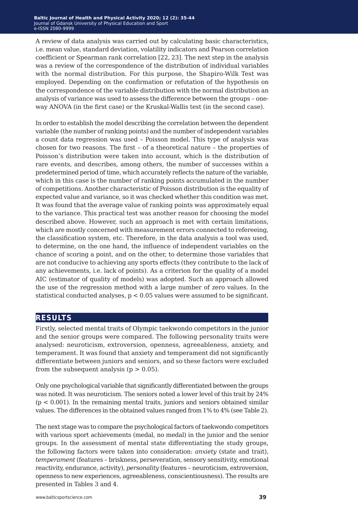A review of data analysis was carried out by calculating basic characteristics, i.e. mean value, standard deviation, volatility indicators and Pearson correlation coefficient or Spearman rank correlation [22, 23]. The next step in the analysis was a review of the correspondence of the distribution of individual variables with the normal distribution. For this purpose, the Shapiro-Wilk Test was employed. Depending on the confirmation or refutation of the hypothesis on the correspondence of the variable distribution with the normal distribution an analysis of variance was used to assess the difference between the groups – oneway ANOVA (in the first case) or the Kruskal-Wallis test (in the second case).

In order to establish the model describing the correlation between the dependent variable (the number of ranking points) and the number of independent variables a count data regression was used – Poisson model. This type of analysis was chosen for two reasons. The first – of a theoretical nature – the properties of Poisson's distribution were taken into account, which is the distribution of rare events, and describes, among others, the number of successes within a predetermined period of time, which accurately reflects the nature of the variable, which in this case is the number of ranking points accumulated in the number of competitions. Another characteristic of Poisson distribution is the equality of expected value and variance, so it was checked whether this condition was met. It was found that the average value of ranking points was approximately equal to the variance. This practical test was another reason for choosing the model described above. However, such an approach is met with certain limitations, which are mostly concerned with measurement errors connected to refereeing, the classification system, etc. Therefore, in the data analysis a tool was used, to determine, on the one hand, the influence of independent variables on the chance of scoring a point, and on the other, to determine those variables that are not conducive to achieving any sports effects (they contribute to the lack of any achievements, i.e. lack of points). As a criterion for the quality of a model AIC (estimator of quality of models) was adopted. Such an approach allowed the use of the regression method with a large number of zero values. In the statistical conducted analyses, p < 0.05 values were assumed to be significant.

### **results**

Firstly, selected mental traits of Olympic taekwondo competitors in the junior and the senior groups were compared. The following personality traits were analysed: neuroticism, extroversion, openness, agreeableness, anxiety, and temperament. It was found that anxiety and temperament did not significantly differentiate between juniors and seniors, and so these factors were excluded from the subsequent analysis ( $p > 0.05$ ).

Only one psychological variable that significantly differentiated between the groups was noted. It was neuroticism. The seniors noted a lower level of this trait by 24%  $(p < 0.001)$ . In the remaining mental traits, juniors and seniors obtained similar values. The differences in the obtained values ranged from 1% to 4% (see Table 2).

The next stage was to compare the psychological factors of taekwondo competitors with various sport achievements (medal, no medal) in the junior and the senior groups. In the assessment of mental state differentiating the study groups, the following factors were taken into consideration: *anxiety* (state and trait), *temperament* (features – briskness, perseveration, sensory sensitivity, emotional reactivity, endurance, activity), *personality* (features – neuroticism, extroversion, openness to new experiences, agreeableness, conscientiousness). The results are presented in Tables 3 and 4.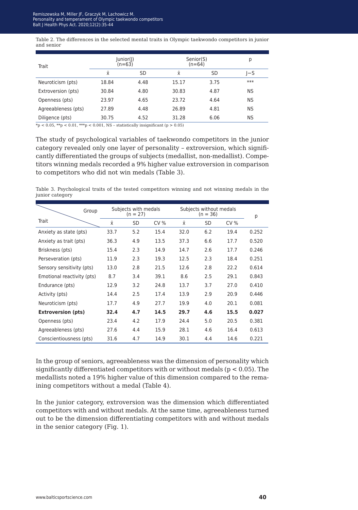Table 2. The differences in the selected mental traits in Olympic taekwondo competitors in junior and senior

| Trait               | $ $ unior $ $ ) | (n=63) | Senior(S)<br>$(n=64)$ | р    |           |
|---------------------|-----------------|--------|-----------------------|------|-----------|
|                     | x               | SD     | <b>X</b>              | SD   | l-S       |
| Neuroticism (pts)   | 18.84           | 4.48   | 15.17                 | 3.75 | $***$     |
| Extroversion (pts)  | 30.84           | 4.80   | 30.83                 | 4.87 | <b>NS</b> |
| Openness (pts)      | 23.97           | 4.65   | 23.72                 | 4.64 | <b>NS</b> |
| Agreeableness (pts) | 27.89           | 4.48   | 26.89                 | 4.81 | <b>NS</b> |
| Diligence (pts)     | 30.75           | 4.52   | 31.28                 | 6.06 | <b>NS</b> |

\*p < 0.05, \*\*p < 0.01, \*\*\*p < 0.001, NS – statistically insignificant (p > 0.05)

The study of psychological variables of taekwondo competitors in the junior category revealed only one layer of personality – extroversion, which significantly differentiated the groups of subjects (medallist, non-medallist). Competitors winning medals recorded a 9% higher value extroversion in comparison to competitors who did not win medals (Table 3).

Table 3. Psychological traits of the tested competitors winning and not winning medals in the junior category

|                            | Group | Subjects with medals<br>$(n = 27)$ |     |      | Subjects without medals<br>$(n = 36)$ |           |      | р     |
|----------------------------|-------|------------------------------------|-----|------|---------------------------------------|-----------|------|-------|
| Trait                      |       | $\bar{x}$                          | SD  | CV%  | $\bar{x}$                             | <b>SD</b> | CV%  |       |
| Anxiety as state (pts)     |       | 33.7                               | 5.2 | 15.4 | 32.0                                  | 6.2       | 19.4 | 0.252 |
| Anxiety as trait (pts)     |       | 36.3                               | 4.9 | 13.5 | 37.3                                  | 6.6       | 17.7 | 0.520 |
| Briskness (pts)            |       | 15.4                               | 2.3 | 14.9 | 14.7                                  | 2.6       | 17.7 | 0.246 |
| Perseveration (pts)        |       | 11.9                               | 2.3 | 19.3 | 12.5                                  | 2.3       | 18.4 | 0.251 |
| Sensory sensitivity (pts)  |       | 13.0                               | 2.8 | 21.5 | 12.6                                  | 2.8       | 22.2 | 0.614 |
| Emotional reactivity (pts) |       | 8.7                                | 3.4 | 39.1 | 8.6                                   | 2.5       | 29.1 | 0.843 |
| Endurance (pts)            |       | 12.9                               | 3.2 | 24.8 | 13.7                                  | 3.7       | 27.0 | 0.410 |
| Activity (pts)             |       | 14.4                               | 2.5 | 17.4 | 13.9                                  | 2.9       | 20.9 | 0.446 |
| Neuroticism (pts)          |       | 17.7                               | 4.9 | 27.7 | 19.9                                  | 4.0       | 20.1 | 0.081 |
| <b>Extroversion (pts)</b>  |       | 32.4                               | 4.7 | 14.5 | 29.7                                  | 4.6       | 15.5 | 0.027 |
| Openness (pts)             |       | 23.4                               | 4.2 | 17.9 | 24.4                                  | 5.0       | 20.5 | 0.381 |
| Agreeableness (pts)        |       | 27.6                               | 4.4 | 15.9 | 28.1                                  | 4.6       | 16.4 | 0.613 |
| Conscientiousness (pts)    |       | 31.6                               | 4.7 | 14.9 | 30.1                                  | 4.4       | 14.6 | 0.221 |

In the group of seniors, agreeableness was the dimension of personality which significantly differentiated competitors with or without medals ( $p < 0.05$ ). The medallists noted a 19% higher value of this dimension compared to the remaining competitors without a medal (Table 4).

In the junior category, extroversion was the dimension which differentiated competitors with and without medals. At the same time, agreeableness turned out to be the dimension differentiating competitors with and without medals in the senior category (Fig. 1).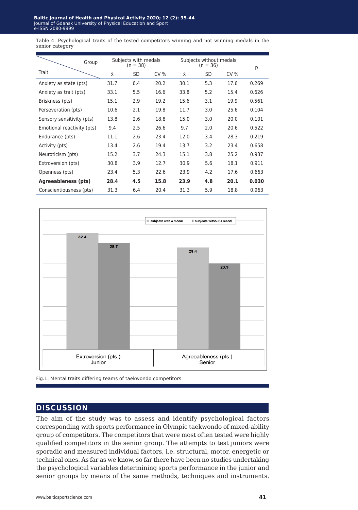Table 4. Psychological traits of the tested competitors winning and not winning medals in the senior category

|                            | Group | Subjects with medals<br>$(n = 38)$ |           |      | Subjects without medals<br>$(n = 36)$ |           |      | р     |
|----------------------------|-------|------------------------------------|-----------|------|---------------------------------------|-----------|------|-------|
| Trait                      |       | Χī                                 | <b>SD</b> | CV%  | Ϋ́                                    | <b>SD</b> | CV%  |       |
| Anxiety as state (pts)     |       | 31.7                               | 6.4       | 20.2 | 30.1                                  | 5.3       | 17.6 | 0.269 |
| Anxiety as trait (pts)     |       | 33.1                               | 5.5       | 16.6 | 33.8                                  | 5.2       | 15.4 | 0.626 |
| Briskness (pts)            |       | 15.1                               | 2.9       | 19.2 | 15.6                                  | 3.1       | 19.9 | 0.561 |
| Perseveration (pts)        |       | 10.6                               | 2.1       | 19.8 | 11.7                                  | 3.0       | 25.6 | 0.104 |
| Sensory sensitivity (pts)  |       | 13.8                               | 2.6       | 18.8 | 15.0                                  | 3.0       | 20.0 | 0.101 |
| Emotional reactivity (pts) |       | 9.4                                | 2.5       | 26.6 | 9.7                                   | 2.0       | 20.6 | 0.522 |
| Endurance (pts)            |       | 11.1                               | 2.6       | 23.4 | 12.0                                  | 3.4       | 28.3 | 0.219 |
| Activity (pts)             |       | 13.4                               | 2.6       | 19.4 | 13.7                                  | 3.2       | 23.4 | 0.658 |
| Neuroticism (pts)          |       | 15.2                               | 3.7       | 24.3 | 15.1                                  | 3.8       | 25.2 | 0.937 |
| Extroversion (pts)         |       | 30.8                               | 3.9       | 12.7 | 30.9                                  | 5.6       | 18.1 | 0.911 |
| Openness (pts)             |       | 23.4                               | 5.3       | 22.6 | 23.9                                  | 4.2       | 17.6 | 0.663 |
| Agreeableness (pts)        |       | 28.4                               | 4.5       | 15.8 | 23.9                                  | 4.8       | 20.1 | 0.030 |
| Conscientiousness (pts)    |       | 31.3                               | 6.4       | 20.4 | 31.3                                  | 5.9       | 18.8 | 0.963 |



Fig.1. Mental traits differing teams of taekwondo competitors

## **discussion**

The aim of the study was to assess and identify psychological factors corresponding with sports performance in Olympic taekwondo of mixed-ability group of competitors. The competitors that were most often tested were highly qualified competitors in the senior group. The attempts to test juniors were sporadic and measured individual factors, i.e. structural, motor, energetic or technical ones. As far as we know, so far there have been no studies undertaking the psychological variables determining sports performance in the junior and senior groups by means of the same methods, techniques and instruments.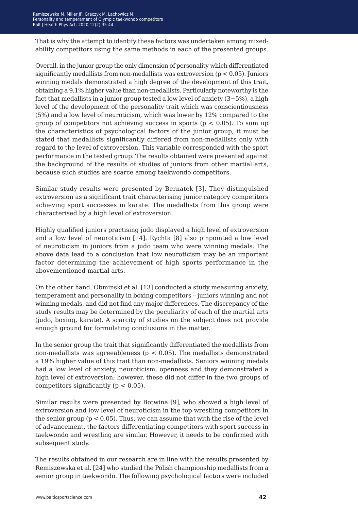That is why the attempt to identify these factors was undertaken among mixedability competitors using the same methods in each of the presented groups.

Overall, in the junior group the only dimension of personality which differentiated significantly medallists from non-medallists was extroversion ( $p < 0.05$ ). Juniors winning medals demonstrated a high degree of the development of this trait, obtaining a 9.1% higher value than non-medallists. Particularly noteworthy is the fact that medallists in a junior group tested a low level of anxiety (3−5%), a high level of the development of the personality trait which was conscientiousness (5%) and a low level of neuroticism, which was lower by 12% compared to the group of competitors not achieving success in sports ( $p < 0.05$ ). To sum up the characteristics of psychological factors of the junior group, it must be stated that medallists significantly differed from non-medallists only with regard to the level of extroversion. This variable corresponded with the sport performance in the tested group. The results obtained were presented against the background of the results of studies of juniors from other martial arts, because such studies are scarce among taekwondo competitors.

Similar study results were presented by Bernatek [3]. They distinguished extroversion as a significant trait characterising junior category competitors achieving sport successes in karate. The medallists from this group were characterised by a high level of extroversion.

Highly qualified juniors practising judo displayed a high level of extroversion and a low level of neuroticism [14]. Rychta [8] also pinpointed a low level of neuroticism in juniors from a judo team who were winning medals. The above data lead to a conclusion that low neuroticism may be an important factor determining the achievement of high sports performance in the abovementioned martial arts.

On the other hand, Obminski et al. [13] conducted a study measuring anxiety, temperament and personality in boxing competitors – juniors winning and not winning medals, and did not find any major differences. The discrepancy of the study results may be determined by the peculiarity of each of the martial arts (judo, boxing, karate). A scarcity of studies on the subject does not provide enough ground for formulating conclusions in the matter.

In the senior group the trait that significantly differentiated the medallists from non-medallists was agreeableness ( $p < 0.05$ ). The medallists demonstrated a 19% higher value of this trait than non-medallists. Seniors winning medals had a low level of anxiety, neuroticism, openness and they demonstrated a high level of extroversion; however, these did not differ in the two groups of competitors significantly ( $p < 0.05$ ).

Similar results were presented by Botwina [9], who showed a high level of extroversion and low level of neuroticism in the top wrestling competitors in the senior group ( $p < 0.05$ ). Thus, we can assume that with the rise of the level of advancement, the factors differentiating competitors with sport success in taekwondo and wrestling are similar. However, it needs to be confirmed with subsequent study.

The results obtained in our research are in line with the results presented by Remiszewska et al. [24] who studied the Polish championship medallists from a senior group in taekwondo. The following psychological factors were included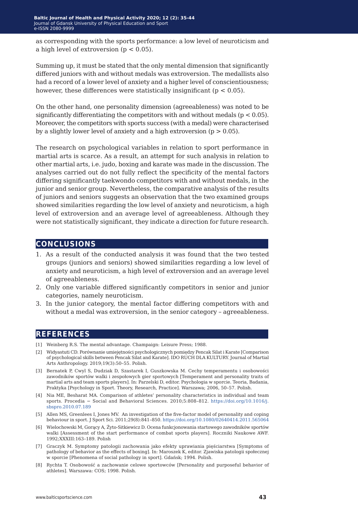as corresponding with the sports performance: a low level of neuroticism and a high level of extroversion  $(p < 0.05)$ .

Summing up, it must be stated that the only mental dimension that significantly differed juniors with and without medals was extroversion. The medallists also had a record of a lower level of anxiety and a higher level of conscientiousness; however, these differences were statistically insignificant ( $p < 0.05$ ).

On the other hand, one personality dimension (agreeableness) was noted to be significantly differentiating the competitors with and without medals ( $p < 0.05$ ). Moreover, the competitors with sports success (with a medal) were characterised by a slightly lower level of anxiety and a high extroversion  $(p > 0.05)$ .

The research on psychological variables in relation to sport performance in martial arts is scarce. As a result, an attempt for such analysis in relation to other martial arts, i.e. judo, boxing and karate was made in the discussion. The analyses carried out do not fully reflect the specificity of the mental factors differing significantly taekwondo competitors with and without medals, in the junior and senior group. Nevertheless, the comparative analysis of the results of juniors and seniors suggests an observation that the two examined groups showed similarities regarding the low level of anxiety and neuroticism, a high level of extroversion and an average level of agreeableness. Although they were not statistically significant, they indicate a direction for future research.

## **conclusions**

- 1. As a result of the conducted analysis it was found that the two tested groups (juniors and seniors) showed similarities regarding a low level of anxiety and neuroticism, a high level of extroversion and an average level of agreeableness.
- 2. Only one variable differed significantly competitors in senior and junior categories, namely neuroticism.
- 3. In the junior category, the mental factor differing competitors with and without a medal was extroversion, in the senior category – agreeableness.

## **references**

- [1] Weinberg R.S. The mental advantage. Champaign: Leisure Press; 1988.
- [2] Widyastuti CD. Porównanie umiejętności psychologicznych pomiędzy Pencak Silat i Karate [Comparison of psychological skills between Pencak Silat and Karate]. IDO RUCH DLA KULTURY. Journal of Martial Arts Anthropology. 2019;19(3):50–55. Polish.
- [3] Bernatek P, Cwyl S, Dudziak D, Szastarek I, Guszkowska M. Cechy temperamentu i osobowości zawodników sportów walki i zespołowych gier sportowych [Temperament and personality traits of martial arts and team sports players]. In: Parzelski D, editor. Psychologia w sporcie. Teoria, Badania, Praktyka [Psychology in Sport. Theory, Research, Practice]. Warszawa; 2006, 50–57. Polish.
- [4] Nia ME, Besharat MA. Comparison of athletes' personality characteristics in individual and team sports. Procedia − Social and Behavioral Sciences. 2010;5:808-812. [https://doi.org/10.1016/j.](https://doi.org/10.1016/j.sbspro.2010.07.189) [sbspro.2010.07.189](https://doi.org/10.1016/j.sbspro.2010.07.189)
- [5] Allen MS, Greenlees I, Jones MV. An investigation of the five-factor model of personality and coping behaviour in sport. J Sport Sci. 2011;29(8):841–850. <https://doi.org/10.1080/02640414.2011.565064>
- [6] Wielochowski M, Gorący A, Żyto-Sitkiewicz D. Ocena funkcjonowania startowego zawodników sportów walki [Assessment of the start performance of combat sports players]. Roczniki Naukowe AWF. 1992;XXXIII:163–189. Polish
- [7] Graczyk M. Symptomy patologii zachowania jako efekty uprawiania pięściarstwa [Symptoms of pathology of behavior as the effects of boxing]. In: Maroszek K, editor. Zjawiska patologii społecznej w sporcie [Phenomena of social pathology in sport]. Gdańsk; 1994. Polish.
- [8] Rychta T. Osobowość a zachowanie celowe sportowców [Personality and purposeful behavior of athletes]. Warszawa: COS; 1998. Polish.